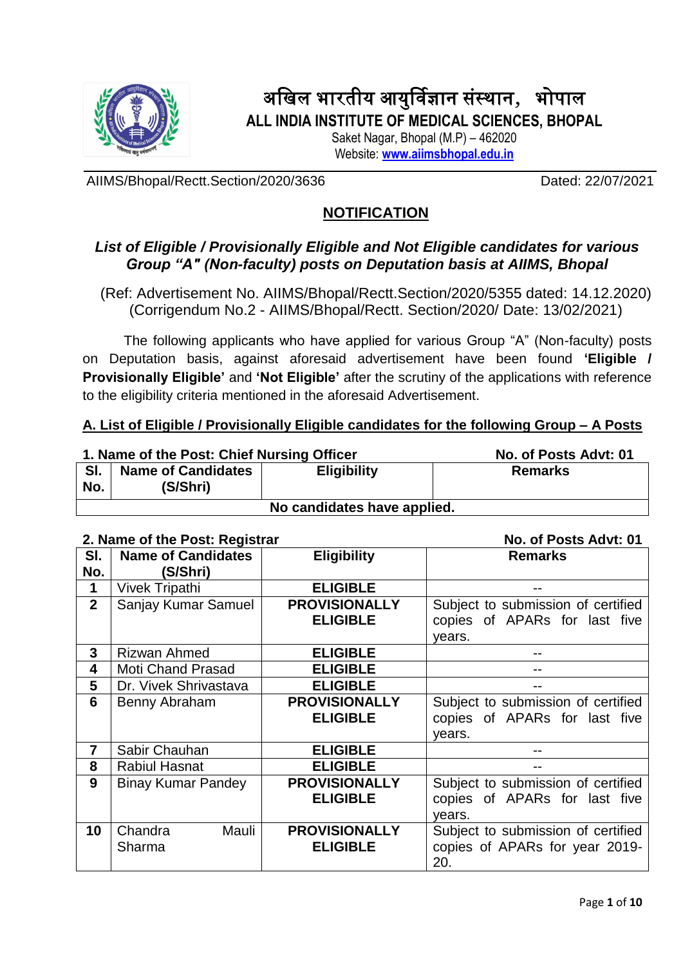

# अखिल भारतीय आयुर्विज्ञान संस्थान, भोपाल **ALL INDIA INSTITUTE OF MEDICAL SCIENCES, BHOPAL**

Saket Nagar, Bhopal (M.P) – 462020

Website: **[www.aiimsbhopal.edu.in](http://www.aiimsbhopal.edu.in/)**

AIIMS/Bhopal/Rectt.Section/2020/3636 Dated: 22/07/2021

# **NOTIFICATION**

# *List of Eligible / Provisionally Eligible and Not Eligible candidates for various Group "A" (Non-faculty) posts on Deputation basis at AIIMS, Bhopal*

(Ref: Advertisement No. AIIMS/Bhopal/Rectt.Section/2020/5355 dated: 14.12.2020) (Corrigendum No.2 - AIIMS/Bhopal/Rectt. Section/2020/ Date: 13/02/2021)

The following applicants who have applied for various Group "A" (Non-faculty) posts on Deputation basis, against aforesaid advertisement have been found **'Eligible / Provisionally Eligible'** and **'Not Eligible'** after the scrutiny of the applications with reference to the eligibility criteria mentioned in the aforesaid Advertisement.

## **A. List of Eligible / Provisionally Eligible candidates for the following Group – A Posts**

| 1. Name of the Post: Chief Nursing Officer |                                       |                | No. of Posts Advt: 01 |
|--------------------------------------------|---------------------------------------|----------------|-----------------------|
| SI.<br>No.                                 | <b>Name of Candidates</b><br>(S/Shri) | <b>Remarks</b> |                       |
| No candidates have applied.                |                                       |                |                       |

## **2. Name of the Post: Registrar No. of Posts Advt: 01**

|                | 2. Name of the Fost. Registrar | 190. ULTUSLS AUVLUI  |                                    |
|----------------|--------------------------------|----------------------|------------------------------------|
| SI.            | <b>Name of Candidates</b>      | <b>Eligibility</b>   | <b>Remarks</b>                     |
| No.            | (S/Shri)                       |                      |                                    |
| 1              | <b>Vivek Tripathi</b>          | <b>ELIGIBLE</b>      |                                    |
| $\overline{2}$ | Sanjay Kumar Samuel            | <b>PROVISIONALLY</b> | Subject to submission of certified |
|                |                                | <b>ELIGIBLE</b>      | copies of APARs for last five      |
|                |                                |                      | years.                             |
| 3              | Rizwan Ahmed                   | <b>ELIGIBLE</b>      |                                    |
| 4              | <b>Moti Chand Prasad</b>       | <b>ELIGIBLE</b>      |                                    |
| 5              | Dr. Vivek Shrivastava          | <b>ELIGIBLE</b>      |                                    |
| 6              | Benny Abraham                  | <b>PROVISIONALLY</b> | Subject to submission of certified |
|                |                                | <b>ELIGIBLE</b>      | copies of APARs for last five      |
|                |                                |                      | years.                             |
| 7              | Sabir Chauhan                  | <b>ELIGIBLE</b>      |                                    |
| 8              | <b>Rabiul Hasnat</b>           | <b>ELIGIBLE</b>      |                                    |
| 9              | <b>Binay Kumar Pandey</b>      | <b>PROVISIONALLY</b> | Subject to submission of certified |
|                |                                | <b>ELIGIBLE</b>      | copies of APARs for last five      |
|                |                                |                      | years.                             |
| 10             | Chandra<br>Mauli               | <b>PROVISIONALLY</b> | Subject to submission of certified |
|                | Sharma                         | <b>ELIGIBLE</b>      | copies of APARs for year 2019-     |
|                |                                |                      | 20.                                |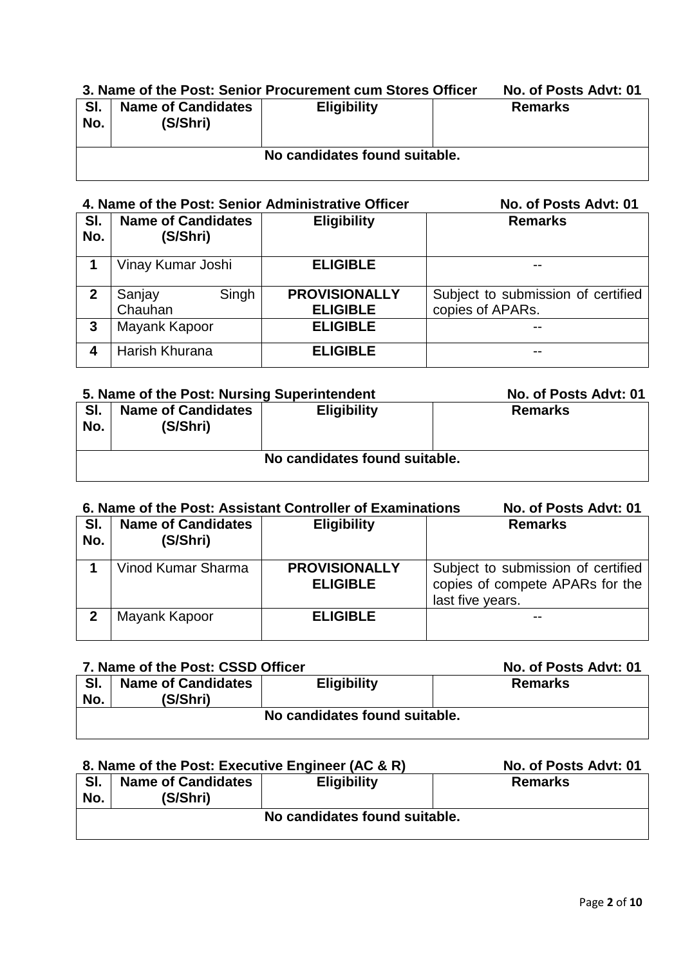# **3. Name of the Post: Senior Procurement cum Stores Officer No. of Posts Advt: 01**

| SI.<br>No. | <b>Name of Candidates</b><br>(S/Shri) | <b>Eligibility</b>            | <b>Remarks</b> |
|------------|---------------------------------------|-------------------------------|----------------|
|            |                                       | No candidates found suitable. |                |

## **4. Name of the Post: Senior Administrative Officer No. of Posts Advt: 01**

| SI.<br>No.   | <b>Name of Candidates</b><br>(S/Shri) | <b>Eligibility</b>                      | <b>Remarks</b>                                         |
|--------------|---------------------------------------|-----------------------------------------|--------------------------------------------------------|
|              | Vinay Kumar Joshi                     | <b>ELIGIBLE</b>                         | $- -$                                                  |
| $\mathbf{2}$ | Singh<br>Sanjay<br>Chauhan            | <b>PROVISIONALLY</b><br><b>ELIGIBLE</b> | Subject to submission of certified<br>copies of APARs. |
| 3            | Mayank Kapoor                         | <b>ELIGIBLE</b>                         | $- -$                                                  |
|              | Harish Khurana                        | <b>ELIGIBLE</b>                         | $- -$                                                  |

|            | 5. Name of the Post: Nursing Superintendent | No. of Posts Advt: 01 |                |  |  |
|------------|---------------------------------------------|-----------------------|----------------|--|--|
| SI.<br>No. | <b>Name of Candidates</b><br>(S/Shri)       | <b>Eligibility</b>    | <b>Remarks</b> |  |  |
|            | No candidates found suitable.               |                       |                |  |  |

## **6. Name of the Post: Assistant Controller of Examinations No. of Posts Advt: 01**

| SI.<br>No. | <b>Name of Candidates</b><br>(S/Shri) | <b>Eligibility</b>                      | <b>Remarks</b>                                                                            |
|------------|---------------------------------------|-----------------------------------------|-------------------------------------------------------------------------------------------|
|            | Vinod Kumar Sharma                    | <b>PROVISIONALLY</b><br><b>ELIGIBLE</b> | Subject to submission of certified<br>copies of compete APARs for the<br>last five years. |
| າ          | Mayank Kapoor                         | <b>ELIGIBLE</b>                         |                                                                                           |

## **7. Name of the Post: CSSD Officer No. 2018 10:00 No. of Posts Advt: 01**

| SI.<br>No. | <b>Name of Candidates</b><br>(S/Shri) | <b>Eligibility</b>            | <b>Remarks</b> |
|------------|---------------------------------------|-------------------------------|----------------|
|            |                                       | No candidates found suitable. |                |

## 8. Name of the Post: Executive Engineer (AC & R) No. of Posts Advt: 01

| SI.<br>No. | <b>Name of Candidates</b><br>(S/Shri) | <b>Eligibility</b>            | <b>Remarks</b> |
|------------|---------------------------------------|-------------------------------|----------------|
|            |                                       | No candidates found suitable. |                |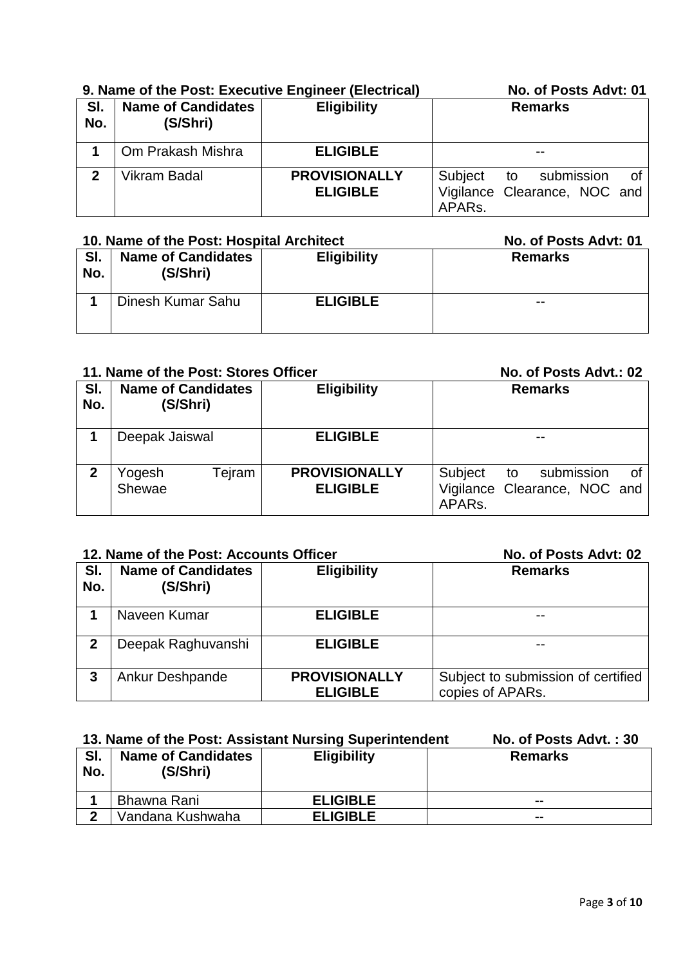|            | 9. Name of the Post: Executive Engineer (Electrical) | No. of Posts Advt: 01                   |                                                                                    |
|------------|------------------------------------------------------|-----------------------------------------|------------------------------------------------------------------------------------|
| SI.<br>No. | <b>Name of Candidates</b><br>(S/Shri)                | <b>Eligibility</b>                      | <b>Remarks</b>                                                                     |
|            | Om Prakash Mishra                                    | <b>ELIGIBLE</b>                         |                                                                                    |
| 2          | Vikram Badal                                         | <b>PROVISIONALLY</b><br><b>ELIGIBLE</b> | Subject to submission<br>0f<br>Vigilance Clearance, NOC and<br>APAR <sub>s</sub> . |

### 10. Name of the Post: Hospital Architect No. of Posts Advt: 01 **Sl. No. Name of Candidates (S/Shri) Eligibility Remarks 1** Dinesh Kumar Sahu **ELIGIBLE** --

## **11. Name of the Post: Stores Officer No. 2018** No. of Posts Advt: 02

| THE NAME OF THE FOST. STOLES OTHER |                                       |                                         | 110. ULT USIS MUVI UZ                                                                    |
|------------------------------------|---------------------------------------|-----------------------------------------|------------------------------------------------------------------------------------------|
| SI.<br>No.                         | <b>Name of Candidates</b><br>(S/Shri) | <b>Eligibility</b>                      | <b>Remarks</b>                                                                           |
|                                    | Deepak Jaiswal                        | <b>ELIGIBLE</b>                         | $- -$                                                                                    |
| 2                                  | Tejram<br>Yogesh<br>Shewae            | <b>PROVISIONALLY</b><br><b>ELIGIBLE</b> | Subject<br>submission<br>0f<br>to<br>Vigilance Clearance, NOC and<br>APAR <sub>s</sub> . |

## **12. Name of the Post: Accounts Officer No. of Posts Advt: 02**

| SI.<br>No. | <b>Name of Candidates</b><br>(S/Shri) | <b>Eligibility</b>                      | <b>Remarks</b>                                         |
|------------|---------------------------------------|-----------------------------------------|--------------------------------------------------------|
|            | Naveen Kumar                          | <b>ELIGIBLE</b>                         | $- -$                                                  |
| 2          | Deepak Raghuvanshi                    | <b>ELIGIBLE</b>                         | $- -$                                                  |
| 3          | Ankur Deshpande                       | <b>PROVISIONALLY</b><br><b>ELIGIBLE</b> | Subject to submission of certified<br>copies of APARs. |

## 13. Name of the Post: Assistant Nursing Superintendent No. of Posts Advt. : 30

| וס.<br>No. | <b>Name of Candidates</b><br>(S/Shri) | <b>Eligibility</b> | <b>Remarks</b> |
|------------|---------------------------------------|--------------------|----------------|
|            | Bhawna Rani                           | <b>ELIGIBLE</b>    | $- -$          |
| ົ          | Vandana Kushwaha                      | <b>ELIGIBLE</b>    | $- -$          |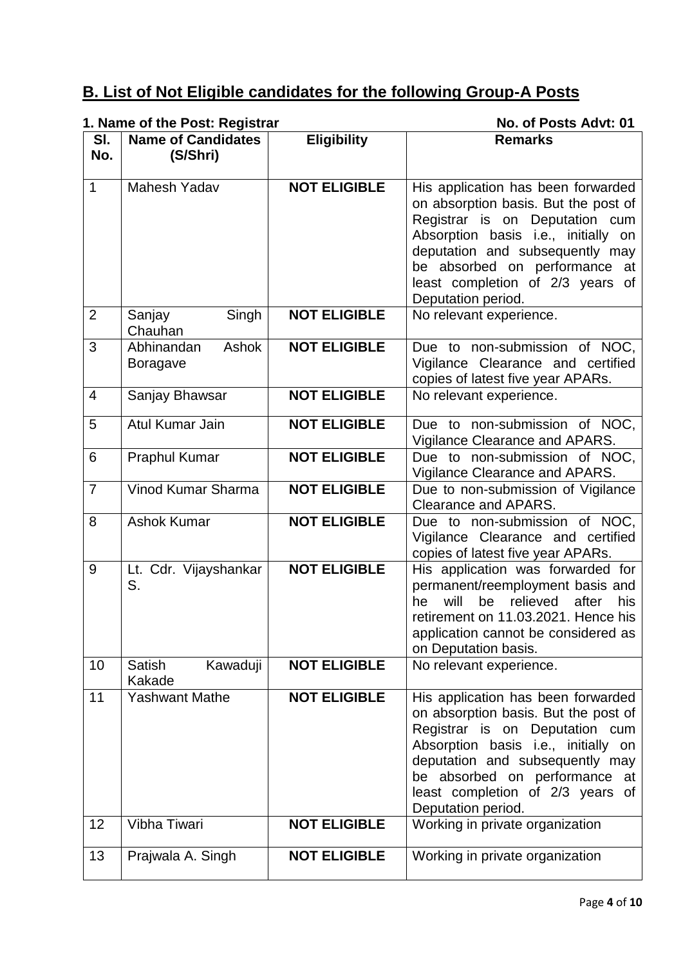# **B. List of Not Eligible candidates for the following Group-A Posts**

# **1. Name of the Post: Registrar No. of Posts Advt: 01**

|                | 1. Hanno of the Fost. Regional |                     | י ט וי טאס איז וי טו                         |
|----------------|--------------------------------|---------------------|----------------------------------------------|
| SI.            | <b>Name of Candidates</b>      | <b>Eligibility</b>  | <b>Remarks</b>                               |
| No.            | (S/Shri)                       |                     |                                              |
|                |                                |                     |                                              |
|                |                                |                     |                                              |
| $\mathbf{1}$   | Mahesh Yadav                   | <b>NOT ELIGIBLE</b> | His application has been forwarded           |
|                |                                |                     | on absorption basis. But the post of         |
|                |                                |                     | Registrar is on Deputation cum               |
|                |                                |                     |                                              |
|                |                                |                     | Absorption basis i.e., initially on          |
|                |                                |                     | deputation and subsequently may              |
|                |                                |                     | be absorbed on performance at                |
|                |                                |                     | least completion of 2/3 years of             |
|                |                                |                     |                                              |
|                |                                |                     | Deputation period.                           |
| $\overline{2}$ | Singh<br>Sanjay                | <b>NOT ELIGIBLE</b> | No relevant experience.                      |
|                | Chauhan                        |                     |                                              |
| 3              | Ashok<br>Abhinandan            | <b>NOT ELIGIBLE</b> | Due to non-submission of NOC,                |
|                |                                |                     |                                              |
|                | <b>Boragave</b>                |                     | Vigilance Clearance and certified            |
|                |                                |                     | copies of latest five year APARs.            |
| $\overline{4}$ | Sanjay Bhawsar                 | <b>NOT ELIGIBLE</b> | No relevant experience.                      |
|                |                                |                     |                                              |
|                | Atul Kumar Jain                |                     |                                              |
| 5              |                                | <b>NOT ELIGIBLE</b> | Due to non-submission of NOC,                |
|                |                                |                     | Vigilance Clearance and APARS.               |
| 6              | Praphul Kumar                  | <b>NOT ELIGIBLE</b> | Due to non-submission of NOC,                |
|                |                                |                     | Vigilance Clearance and APARS.               |
|                |                                |                     |                                              |
| $\overline{7}$ | Vinod Kumar Sharma             | <b>NOT ELIGIBLE</b> | Due to non-submission of Vigilance           |
|                |                                |                     | Clearance and APARS.                         |
| 8              | <b>Ashok Kumar</b>             | <b>NOT ELIGIBLE</b> | Due to non-submission of NOC,                |
|                |                                |                     | Vigilance Clearance and certified            |
|                |                                |                     |                                              |
|                |                                |                     | copies of latest five year APARs.            |
| 9              | Lt. Cdr. Vijayshankar          | <b>NOT ELIGIBLE</b> | His application was forwarded for            |
|                | S.                             |                     | permanent/reemployment basis and             |
|                |                                |                     | will<br>be<br>relieved<br>after<br>his<br>he |
|                |                                |                     |                                              |
|                |                                |                     | retirement on 11.03.2021. Hence his          |
|                |                                |                     | application cannot be considered as          |
|                |                                |                     | on Deputation basis.                         |
| 10             | Kawaduji<br>Satish             | <b>NOT ELIGIBLE</b> | No relevant experience.                      |
|                | Kakade                         |                     |                                              |
|                |                                |                     |                                              |
| 11             | <b>Yashwant Mathe</b>          | <b>NOT ELIGIBLE</b> | His application has been forwarded           |
|                |                                |                     | on absorption basis. But the post of         |
|                |                                |                     | Registrar is on Deputation cum               |
|                |                                |                     | Absorption basis i.e., initially on          |
|                |                                |                     |                                              |
|                |                                |                     | deputation and subsequently may              |
|                |                                |                     | be absorbed on performance at                |
|                |                                |                     | least completion of 2/3 years of             |
|                |                                |                     | Deputation period.                           |
|                |                                |                     |                                              |
| 12             | Vibha Tiwari                   | <b>NOT ELIGIBLE</b> | Working in private organization              |
|                |                                |                     |                                              |
| 13             | Prajwala A. Singh              | <b>NOT ELIGIBLE</b> | Working in private organization              |
|                |                                |                     |                                              |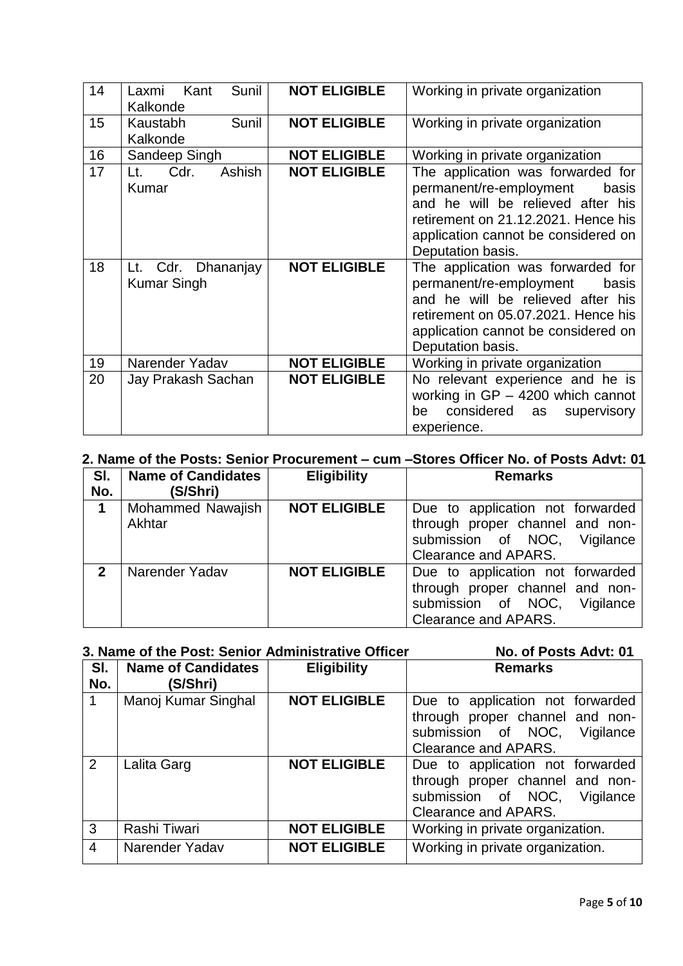| 14 | Sunil<br>Kant<br>Laxmi<br>Kalkonde       | <b>NOT ELIGIBLE</b> | Working in private organization                                                                                                                                                                               |
|----|------------------------------------------|---------------------|---------------------------------------------------------------------------------------------------------------------------------------------------------------------------------------------------------------|
| 15 | Sunil<br>Kaustabh<br>Kalkonde            | <b>NOT ELIGIBLE</b> | Working in private organization                                                                                                                                                                               |
| 16 | Sandeep Singh                            | <b>NOT ELIGIBLE</b> | Working in private organization                                                                                                                                                                               |
| 17 | Ashish<br>Cdr.<br>Lt.<br><b>Kumar</b>    | <b>NOT ELIGIBLE</b> | The application was forwarded for<br>permanent/re-employment<br>basis<br>and he will be relieved after his<br>retirement on 21.12.2021. Hence his<br>application cannot be considered on<br>Deputation basis. |
| 18 | Lt. Cdr. Dhananjay<br><b>Kumar Singh</b> | <b>NOT ELIGIBLE</b> | The application was forwarded for<br>permanent/re-employment<br>basis<br>and he will be relieved after his<br>retirement on 05.07.2021. Hence his<br>application cannot be considered on<br>Deputation basis. |
| 19 | Narender Yadav                           | <b>NOT ELIGIBLE</b> | Working in private organization                                                                                                                                                                               |
| 20 | Jay Prakash Sachan                       | <b>NOT ELIGIBLE</b> | No relevant experience and he is<br>working in $GP - 4200$ which cannot<br>considered<br>be<br>supervisory<br>as<br>experience.                                                                               |

## **2. Name of the Posts: Senior Procurement – cum –Stores Officer No. of Posts Advt: 01**

| SI.            | <b>Name of Candidates</b> | <b>Eligibility</b>  | <b>Remarks</b>                   |
|----------------|---------------------------|---------------------|----------------------------------|
| No.            | (S/Shri)                  |                     |                                  |
| 1              | <b>Mohammed Nawajish</b>  | <b>NOT ELIGIBLE</b> | Due to application not forwarded |
|                | Akhtar                    |                     | through proper channel and non-  |
|                |                           |                     | submission of NOC,<br>Vigilance  |
|                |                           |                     | Clearance and APARS.             |
| $\mathfrak{p}$ | Narender Yadav            | <b>NOT ELIGIBLE</b> | Due to application not forwarded |
|                |                           |                     | through proper channel and non-  |
|                |                           |                     | submission of NOC,<br>Vigilance  |
|                |                           |                     | Clearance and APARS.             |

# **3. Name of the Post: Senior Administrative Officer No. of Posts Advt: 01**

| SI.<br>No.     | <b>Name of Candidates</b><br>(S/Shri) | <b>Eligibility</b>  | <b>Remarks</b>                                                                                                              |
|----------------|---------------------------------------|---------------------|-----------------------------------------------------------------------------------------------------------------------------|
|                | Manoj Kumar Singhal                   | <b>NOT ELIGIBLE</b> | Due to application not forwarded<br>through proper channel and non-<br>submission of NOC, Vigilance<br>Clearance and APARS. |
| 2              | Lalita Garg                           | <b>NOT ELIGIBLE</b> | Due to application not forwarded<br>through proper channel and non-<br>submission of NOC, Vigilance<br>Clearance and APARS. |
| 3              | Rashi Tiwari                          | <b>NOT ELIGIBLE</b> | Working in private organization.                                                                                            |
| $\overline{4}$ | Narender Yadav                        | <b>NOT ELIGIBLE</b> | Working in private organization.                                                                                            |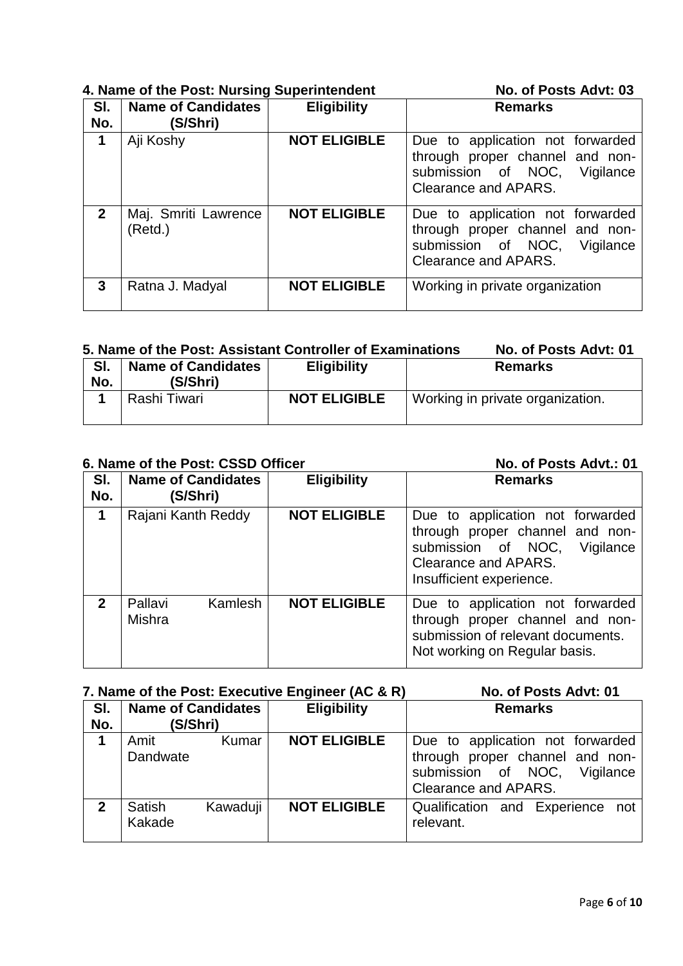|              | 4. Name of the Post: Nursing Superintendent | No. of Posts Advt: 03 |                                                                                                                             |
|--------------|---------------------------------------------|-----------------------|-----------------------------------------------------------------------------------------------------------------------------|
| SI.<br>No.   | <b>Name of Candidates</b><br>(S/Shri)       | <b>Eligibility</b>    | <b>Remarks</b>                                                                                                              |
| 1            | Aji Koshy                                   | <b>NOT ELIGIBLE</b>   | Due to application not forwarded<br>through proper channel and non-<br>submission of NOC, Vigilance<br>Clearance and APARS. |
| $\mathbf{2}$ | Maj. Smriti Lawrence<br>(Retd.)             | <b>NOT ELIGIBLE</b>   | Due to application not forwarded<br>through proper channel and non-<br>submission of NOC, Vigilance<br>Clearance and APARS. |
| 3            | Ratna J. Madyal                             | <b>NOT ELIGIBLE</b>   | Working in private organization                                                                                             |

## **5. Name of the Post: Assistant Controller of Examinations No. of Posts Advt: 01**

| SI.<br>No. | <b>Name of Candidates</b><br>(S/Shri) | <b>Eligibility</b>  | <b>Remarks</b>                   |
|------------|---------------------------------------|---------------------|----------------------------------|
|            | Rashi Tiwari                          | <b>NOT ELIGIBLE</b> | Working in private organization. |

### **6. Name of the Post: CSSD Officer <b>No. 2018 No. of Posts Advt.: 01 Sl. No. Name of Candidates (S/Shri) Eligibility Remarks 1** Rajani Kanth Reddy **NOT ELIGIBLE** Due to application not forwarded through proper channel and nonsubmission of NOC, Vigilance Clearance and APARS. Insufficient experience. **2** Pallavi Kamlesh Mishra **NOT ELIGIBLE** Due to application not forwarded through proper channel and nonsubmission of relevant documents. Not working on Regular basis.

## **7. Name of the Post: Executive Engineer (AC & R) No. of Posts Advt: 01**

| SI.<br>No. | <b>Name of Candidates</b><br>(S/Shri) |          | <b>Eligibility</b>  | <b>Remarks</b>                                                                                                              |
|------------|---------------------------------------|----------|---------------------|-----------------------------------------------------------------------------------------------------------------------------|
| 1          | Amit<br>Dandwate                      | Kumar    | <b>NOT ELIGIBLE</b> | Due to application not forwarded<br>through proper channel and non-<br>submission of NOC, Vigilance<br>Clearance and APARS. |
| 2          | <b>Satish</b><br>Kakade               | Kawaduji | <b>NOT ELIGIBLE</b> | Qualification and Experience not<br>relevant.                                                                               |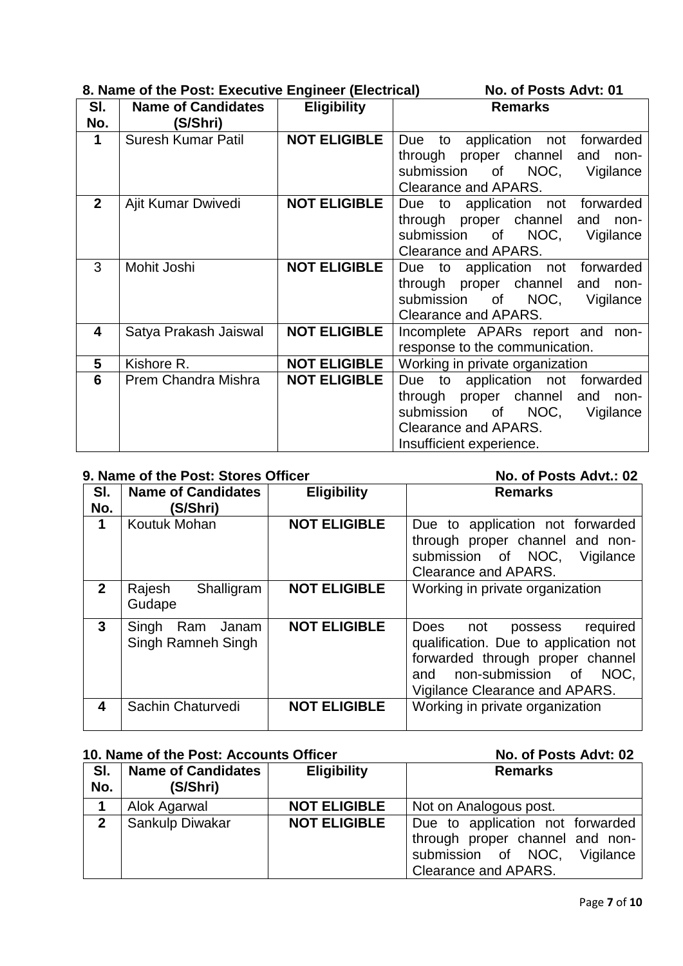|                         | 8. Name of the Post: Executive Engineer (Electrical) |                     | No. of Posts Advt: 01                                                                                                                              |
|-------------------------|------------------------------------------------------|---------------------|----------------------------------------------------------------------------------------------------------------------------------------------------|
| SI.<br>No.              | <b>Name of Candidates</b><br>(S/Shri)                | <b>Eligibility</b>  | <b>Remarks</b>                                                                                                                                     |
| 1                       | <b>Suresh Kumar Patil</b>                            | <b>NOT ELIGIBLE</b> | Due to application not forwarded                                                                                                                   |
|                         |                                                      |                     | proper channel and non-<br>through                                                                                                                 |
|                         |                                                      |                     | submission of NOC,<br>Vigilance                                                                                                                    |
|                         |                                                      |                     | Clearance and APARS.                                                                                                                               |
| $\mathbf{2}$            | Ajit Kumar Dwivedi                                   | <b>NOT ELIGIBLE</b> | Due to application not forwarded                                                                                                                   |
|                         |                                                      |                     | through proper channel and non-                                                                                                                    |
|                         |                                                      |                     | NOC,<br>submission of<br>Vigilance                                                                                                                 |
|                         |                                                      |                     | Clearance and APARS.                                                                                                                               |
| 3                       | Mohit Joshi                                          | <b>NOT ELIGIBLE</b> | Due to application not forwarded                                                                                                                   |
|                         |                                                      |                     | through proper channel and non-                                                                                                                    |
|                         |                                                      |                     | submission of NOC,<br>Vigilance                                                                                                                    |
|                         |                                                      |                     | Clearance and APARS.                                                                                                                               |
| $\overline{\mathbf{4}}$ | Satya Prakash Jaiswal                                | <b>NOT ELIGIBLE</b> | Incomplete APARs report and non-                                                                                                                   |
|                         |                                                      |                     | response to the communication.                                                                                                                     |
| 5                       | Kishore R.                                           | <b>NOT ELIGIBLE</b> | Working in private organization                                                                                                                    |
| 6                       | Prem Chandra Mishra                                  | <b>NOT ELIGIBLE</b> | Due to application not forwarded                                                                                                                   |
|                         |                                                      |                     | through proper channel and non-                                                                                                                    |
|                         |                                                      |                     | NOC,<br>submission<br>of the contract of the contract of the contract of the contract of the contract of the contract of the contract<br>Vigilance |
|                         |                                                      |                     | Clearance and APARS.                                                                                                                               |
|                         |                                                      |                     | Insufficient experience.                                                                                                                           |

# **9. Name of the Post: Stores Officer No. of Posts Advt.: 02**

| SI.<br>No.   | <b>Name of Candidates</b><br>(S/Shri)       | <b>Eligibility</b>  | <b>Remarks</b>                                                                                                                                                                  |
|--------------|---------------------------------------------|---------------------|---------------------------------------------------------------------------------------------------------------------------------------------------------------------------------|
| 1            | Koutuk Mohan                                | <b>NOT ELIGIBLE</b> | Due to application not forwarded<br>through proper channel and non-<br>submission of NOC,<br>Vigilance<br>Clearance and APARS.                                                  |
| $\mathbf{2}$ | Rajesh<br>Shalligram<br>Gudape              | <b>NOT ELIGIBLE</b> | Working in private organization                                                                                                                                                 |
| $\mathbf{3}$ | Singh<br>Janam<br>Ram<br>Singh Ramneh Singh | <b>NOT ELIGIBLE</b> | Does not<br>required<br>possess<br>qualification. Due to application not<br>forwarded through proper channel<br>and non-submission of<br>NOC.<br>Vigilance Clearance and APARS. |
| 4            | Sachin Chaturvedi                           | <b>NOT ELIGIBLE</b> | Working in private organization                                                                                                                                                 |

## **10. Name of the Post: Accounts Officer No. of Posts Advt: 02**

| SI.<br>No.   | <b>Name of Candidates</b><br>(S/Shri) | <b>Eligibility</b>  | <b>Remarks</b>                                                                                                                 |
|--------------|---------------------------------------|---------------------|--------------------------------------------------------------------------------------------------------------------------------|
|              | Alok Agarwal                          | <b>NOT ELIGIBLE</b> | Not on Analogous post.                                                                                                         |
| $\mathbf{2}$ | Sankulp Diwakar                       | <b>NOT ELIGIBLE</b> | Due to application not forwarded<br>through proper channel and non-<br>submission of NOC,<br>Vigilance<br>Clearance and APARS. |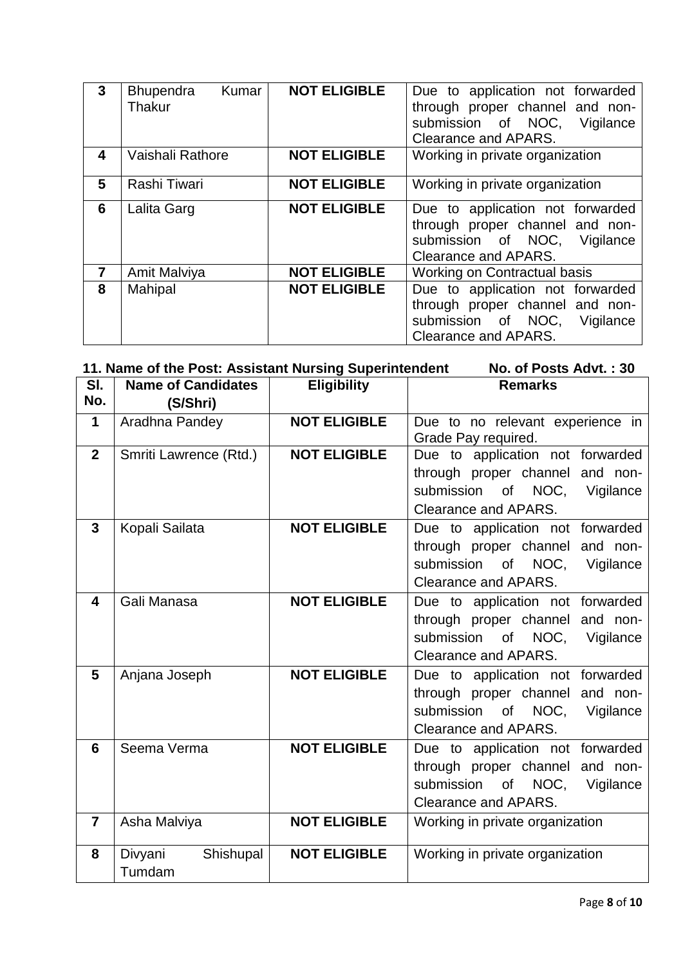| $\mathbf{3}$   | Kumar<br>Bhupendra | <b>NOT ELIGIBLE</b> | Due to application not forwarded |
|----------------|--------------------|---------------------|----------------------------------|
|                | Thakur             |                     | through proper channel and non-  |
|                |                    |                     | submission of NOC, Vigilance     |
|                |                    |                     | Clearance and APARS.             |
| 4              | Vaishali Rathore   | <b>NOT ELIGIBLE</b> | Working in private organization  |
| 5              | Rashi Tiwari       | <b>NOT ELIGIBLE</b> | Working in private organization  |
| 6              | Lalita Garg        | <b>NOT ELIGIBLE</b> | Due to application not forwarded |
|                |                    |                     | through proper channel and non-  |
|                |                    |                     | submission of NOC, Vigilance     |
|                |                    |                     | Clearance and APARS.             |
| $\overline{7}$ | Amit Malviya       | <b>NOT ELIGIBLE</b> | Working on Contractual basis     |
| 8              | Mahipal            | <b>NOT ELIGIBLE</b> | Due to application not forwarded |
|                |                    |                     | through proper channel and non-  |
|                |                    |                     | submission of NOC, Vigilance     |
|                |                    |                     | Clearance and APARS.             |

|                | 11. Name of the Post: Assistant Nursing Superintendent<br>No. of Posts Advt.: 30 |                     |                                                                                                                                   |  |  |
|----------------|----------------------------------------------------------------------------------|---------------------|-----------------------------------------------------------------------------------------------------------------------------------|--|--|
| SI.            | <b>Name of Candidates</b>                                                        | <b>Eligibility</b>  | <b>Remarks</b>                                                                                                                    |  |  |
| No.            | (S/Shri)                                                                         |                     |                                                                                                                                   |  |  |
| $\mathbf 1$    | Aradhna Pandey                                                                   | <b>NOT ELIGIBLE</b> | Due to no relevant experience in<br>Grade Pay required.                                                                           |  |  |
| $\mathbf{2}$   | Smriti Lawrence (Rtd.)                                                           | <b>NOT ELIGIBLE</b> | Due to application not forwarded<br>through proper channel and non-<br>submission of NOC, Vigilance<br>Clearance and APARS.       |  |  |
| 3              | Kopali Sailata                                                                   | <b>NOT ELIGIBLE</b> | Due to application not forwarded<br>through proper channel and non-<br>submission of NOC, Vigilance<br>Clearance and APARS.       |  |  |
| 4              | Gali Manasa                                                                      | <b>NOT ELIGIBLE</b> | Due to application not forwarded<br>through proper channel and non-<br>submission of NOC, Vigilance<br>Clearance and APARS.       |  |  |
| 5              | Anjana Joseph                                                                    | <b>NOT ELIGIBLE</b> | Due to application not forwarded<br>through proper channel and non-<br>submission<br>of NOC.<br>Vigilance<br>Clearance and APARS. |  |  |
| 6              | Seema Verma                                                                      | <b>NOT ELIGIBLE</b> | Due to application not forwarded<br>through proper channel and non-<br>submission of NOC, Vigilance<br>Clearance and APARS.       |  |  |
| $\overline{7}$ | Asha Malviya                                                                     | <b>NOT ELIGIBLE</b> | Working in private organization                                                                                                   |  |  |
| 8              | Divyani<br>Shishupal<br>Tumdam                                                   | <b>NOT ELIGIBLE</b> | Working in private organization                                                                                                   |  |  |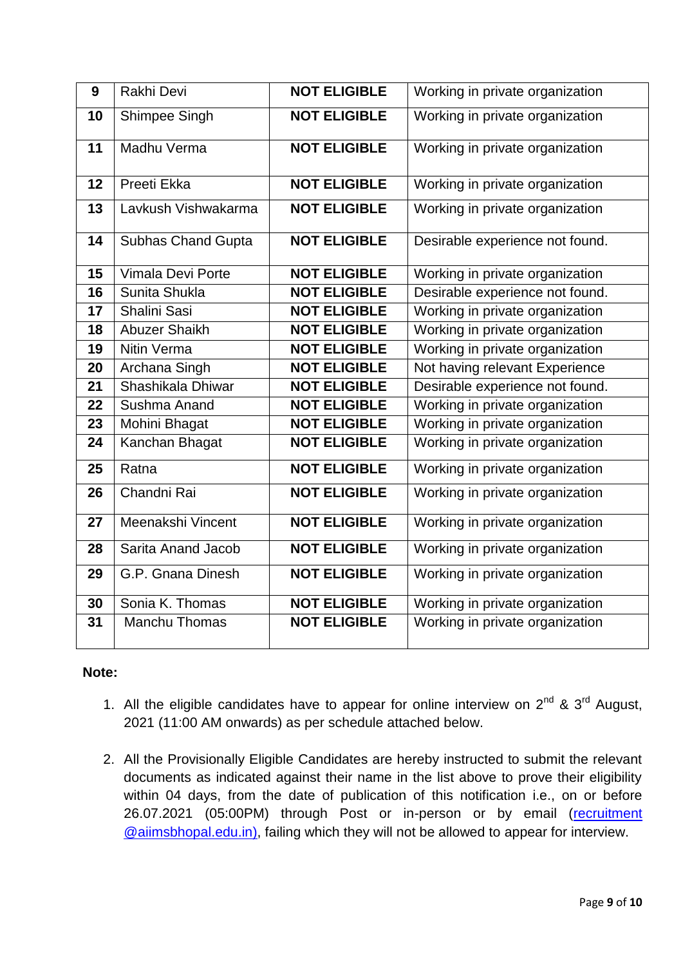| 9  | Rakhi Devi                | <b>NOT ELIGIBLE</b> | Working in private organization |
|----|---------------------------|---------------------|---------------------------------|
| 10 | Shimpee Singh             | <b>NOT ELIGIBLE</b> | Working in private organization |
| 11 | Madhu Verma               | <b>NOT ELIGIBLE</b> | Working in private organization |
| 12 | Preeti Ekka               | <b>NOT ELIGIBLE</b> | Working in private organization |
| 13 | Lavkush Vishwakarma       | <b>NOT ELIGIBLE</b> | Working in private organization |
| 14 | <b>Subhas Chand Gupta</b> | <b>NOT ELIGIBLE</b> | Desirable experience not found. |
| 15 | Vimala Devi Porte         | <b>NOT ELIGIBLE</b> | Working in private organization |
| 16 | Sunita Shukla             | <b>NOT ELIGIBLE</b> | Desirable experience not found. |
| 17 | Shalini Sasi              | <b>NOT ELIGIBLE</b> | Working in private organization |
| 18 | Abuzer Shaikh             | <b>NOT ELIGIBLE</b> | Working in private organization |
| 19 | <b>Nitin Verma</b>        | <b>NOT ELIGIBLE</b> | Working in private organization |
| 20 | Archana Singh             | <b>NOT ELIGIBLE</b> | Not having relevant Experience  |
| 21 | Shashikala Dhiwar         | <b>NOT ELIGIBLE</b> | Desirable experience not found. |
| 22 | Sushma Anand              | <b>NOT ELIGIBLE</b> | Working in private organization |
| 23 | Mohini Bhagat             | <b>NOT ELIGIBLE</b> | Working in private organization |
| 24 | Kanchan Bhagat            | <b>NOT ELIGIBLE</b> | Working in private organization |
| 25 | Ratna                     | <b>NOT ELIGIBLE</b> | Working in private organization |
| 26 | Chandni Rai               | <b>NOT ELIGIBLE</b> | Working in private organization |
| 27 | Meenakshi Vincent         | <b>NOT ELIGIBLE</b> | Working in private organization |
| 28 | Sarita Anand Jacob        | <b>NOT ELIGIBLE</b> | Working in private organization |
| 29 | G.P. Gnana Dinesh         | <b>NOT ELIGIBLE</b> | Working in private organization |
| 30 | Sonia K. Thomas           | <b>NOT ELIGIBLE</b> | Working in private organization |
| 31 | <b>Manchu Thomas</b>      | <b>NOT ELIGIBLE</b> | Working in private organization |

## **Note:**

- 1. All the eligible candidates have to appear for online interview on  $2^{nd}$  &  $3^{rd}$  August, 2021 (11:00 AM onwards) as per schedule attached below.
- 2. All the Provisionally Eligible Candidates are hereby instructed to submit the relevant documents as indicated against their name in the list above to prove their eligibility within 04 days, from the date of publication of this notification i.e., on or before 26.07.2021 (05:00PM) through Post or in-person or by email [\(recruitment](mailto:recruitment.deputation@aiimsbhopal.edu.in) [@aiimsbhopal.edu.in\)](mailto:recruitment.deputation@aiimsbhopal.edu.in), failing which they will not be allowed to appear for interview.